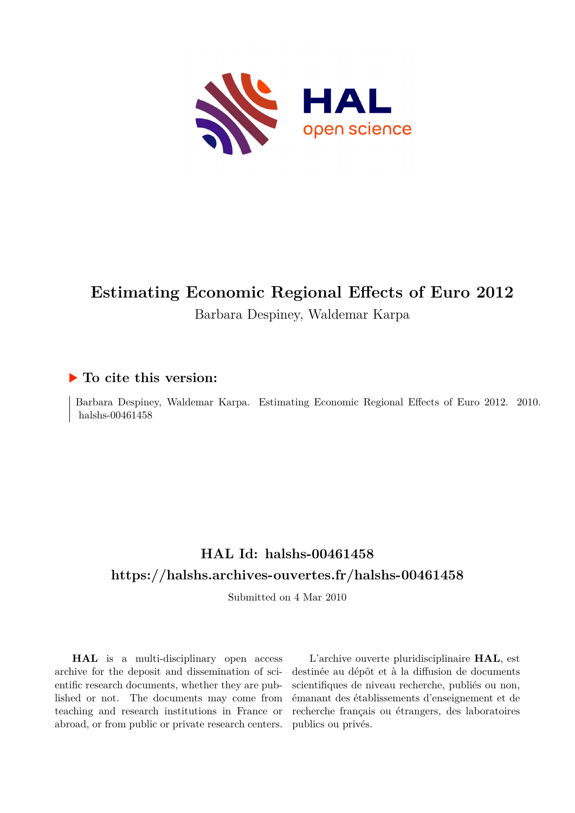

# **Estimating Economic Regional Effects of Euro 2012** Barbara Despiney, Waldemar Karpa

## **To cite this version:**

Barbara Despiney, Waldemar Karpa. Estimating Economic Regional Effects of Euro 2012. 2010. halshs-00461458

# **HAL Id: halshs-00461458 <https://halshs.archives-ouvertes.fr/halshs-00461458>**

Submitted on 4 Mar 2010

**HAL** is a multi-disciplinary open access archive for the deposit and dissemination of scientific research documents, whether they are published or not. The documents may come from teaching and research institutions in France or abroad, or from public or private research centers.

L'archive ouverte pluridisciplinaire **HAL**, est destinée au dépôt et à la diffusion de documents scientifiques de niveau recherche, publiés ou non, émanant des établissements d'enseignement et de recherche français ou étrangers, des laboratoires publics ou privés.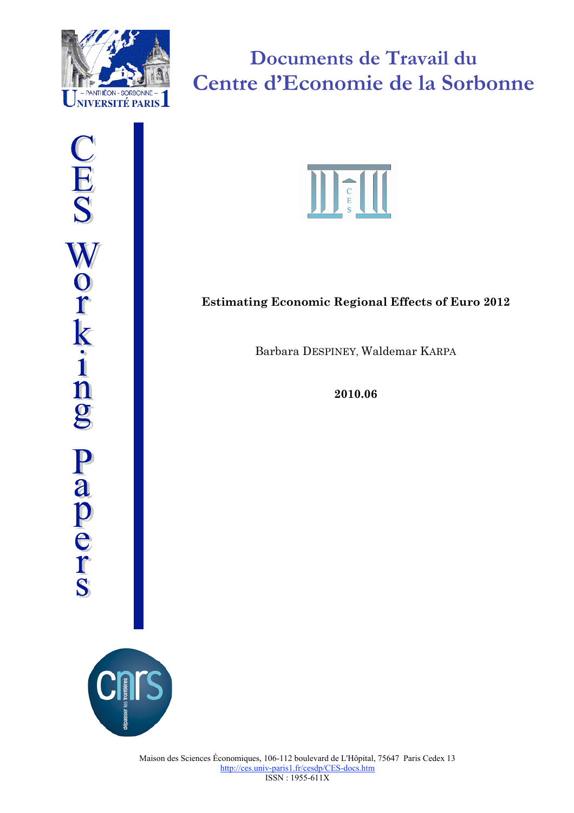



**Documents de Travail du Centre d'Economie de la Sorbonne**



## **Estimating Economic Regional Effects of Euro 2012**

Barbara DESPINEY, Waldemar KARPA

**2010.06**

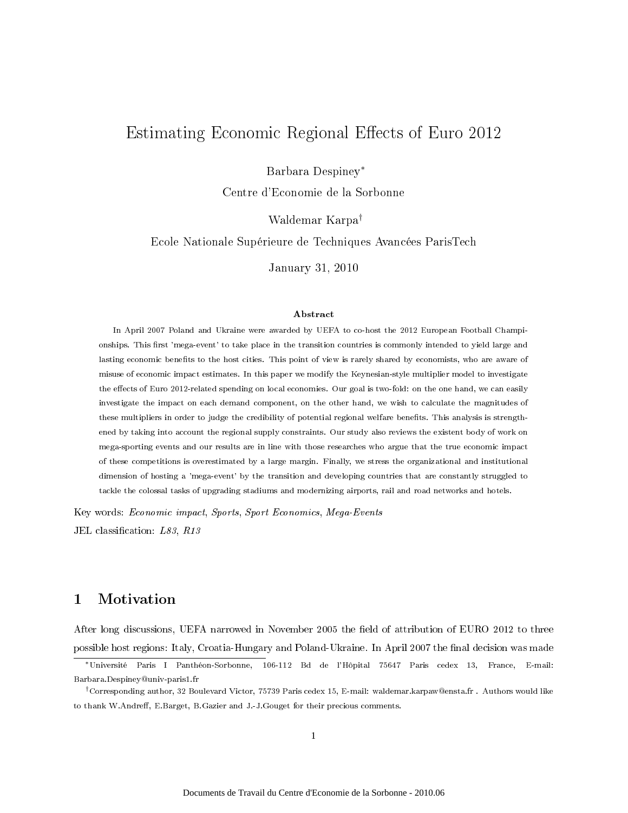## Estimating Economic Regional Effects of Euro 2012

Barbara Despiney<sup>∗</sup>

Centre d'Economie de la Sorbonne

Waldemar Karpa†

Ecole Nationale Supérieure de Techniques Avancées ParisTech

January 31, 2010

#### Abstract

In April 2007 Poland and Ukraine were awarded by UEFA to co-host the 2012 European Football Championships. This first 'mega-event' to take place in the transition countries is commonly intended to yield large and lasting economic benefits to the host cities. This point of view is rarely shared by economists, who are aware of misuse of economic impact estimates. In this paper we modify the Keynesian-style multiplier model to investigate the effects of Euro 2012-related spending on local economies. Our goal is two-fold: on the one hand, we can easily investigate the impact on each demand component, on the other hand, we wish to calculate the magnitudes of these multipliers in order to judge the credibility of potential regional welfare benets. This analysis is strengthened by taking into account the regional supply constraints. Our study also reviews the existent body of work on mega-sporting events and our results are in line with those researches who argue that the true economic impact of these competitions is overestimated by a large margin. Finally, we stress the organizational and institutional dimension of hosting a 'mega-event' by the transition and developing countries that are constantly struggled to tackle the colossal tasks of upgrading stadiums and modernizing airports, rail and road networks and hotels.

Key words: Economic impact, Sports, Sport Economics, Mega-Events

JEL classification:  $L83$ ,  $R13$ 

### 1 Motivation

After long discussions, UEFA narrowed in November 2005 the field of attribution of EURO 2012 to three possible host regions: Italy, Croatia-Hungary and Poland-Ukraine. In April 2007 the final decision was made

<sup>∗</sup>Université Paris I Panthéon-Sorbonne, 106-112 Bd de l'Hôpital 75647 Paris cedex 13, France, E-mail: Barbara.Despiney@univ-paris1.fr

<sup>†</sup>Corresponding author, 32 Boulevard Victor, 75739 Paris cedex 15, E-mail: waldemar.karpaw@ensta.fr . Authors would like to thank W.Andreff, E.Barget, B.Gazier and J.-J.Gouget for their precious comments.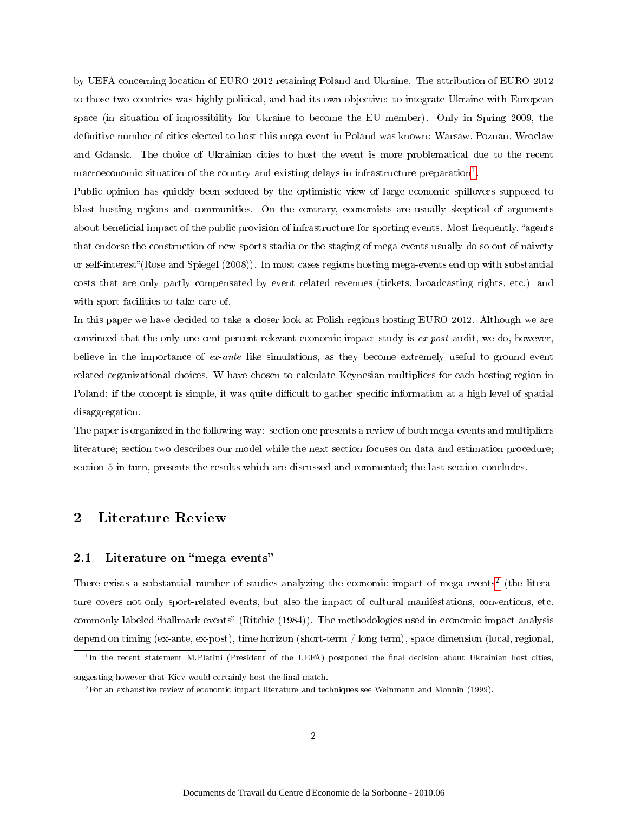by UEFA concerning location of EURO 2012 retaining Poland and Ukraine. The attribution of EURO 2012 to those two countries was highly political, and had its own objective: to integrate Ukraine with European space (in situation of impossibility for Ukraine to become the EU member). Only in Spring 2009, the definitive number of cities elected to host this mega-event in Poland was known: Warsaw, Poznan, Wroclaw and Gdansk. The choice of Ukrainian cities to host the event is more problematical due to the recent macroeconomic situation of the country and existing delays in infrastructure preparation<sup>1</sup>.

Public opinion has quickly been seduced by the optimistic view of large economic spillovers supposed to blast hosting regions and communities. On the contrary, economists are usually skeptical of arguments about beneficial impact of the public provision of infrastructure for sporting events. Most frequently, "agents that endorse the construction of new sports stadia or the staging of mega-events usually do so out of naivety or self-interest"(Rose and Spiegel (2008)). In most cases regions hosting mega-events end up with substantial costs that are only partly compensated by event related revenues (tickets, broadcasting rights, etc.) and with sport facilities to take care of.

In this paper we have decided to take a closer look at Polish regions hosting EURO 2012. Although we are convinced that the only one cent percent relevant economic impact study is ex-post audit, we do, however, believe in the importance of ex-ante like simulations, as they become extremely useful to ground event related organizational choices. W have chosen to calculate Keynesian multipliers for each hosting region in Poland: if the concept is simple, it was quite difficult to gather specific information at a high level of spatial disaggregation.

The paper is organized in the following way: section one presents a review of both mega-events and multipliers literature; section two describes our model while the next section focuses on data and estimation procedure; section 5 in turn, presents the results which are discussed and commented; the last section concludes.

### 2 Literature Review

#### 2.1 Literature on "mega events"

There exists a substantial number of studies analyzing the economic impact of mega events<sup>2</sup> (the literature covers not only sport-related events, but also the impact of cultural manifestations, conventions, etc. commonly labeled "hallmark events" (Ritchie (1984)). The methodologies used in economic impact analysis depend on timing (ex-ante, ex-post), time horizon (short-term / long term), space dimension (local, regional,

<sup>&</sup>lt;sup>1</sup>In the recent statement M.Platini (President of the UEFA) postponed the final decision about Ukrainian host cities,

suggesting however that Kiev would certainly host the final match.

<sup>&</sup>lt;sup>2</sup>For an exhaustive review of economic impact literature and techniques see Weinmann and Monnin (1999).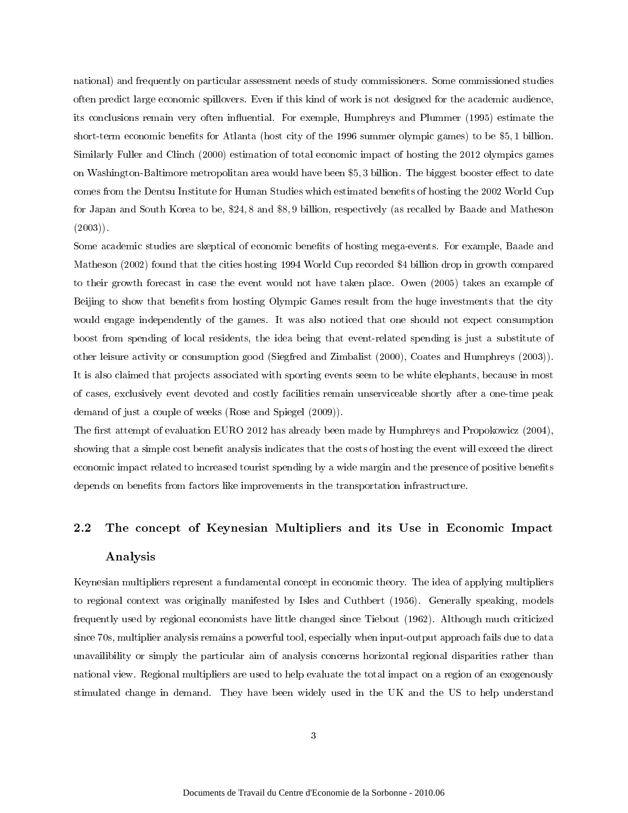national) and frequently on particular assessment needs of study commissioners. Some commissioned studies often predict large economic spillovers. Even if this kind of work is not designed for the academic audience, its conclusions remain very often influential. For exemple, Humphreys and Plummer (1995) estimate the short-term economic benets for Atlanta (host city of the 1996 summer olympic games) to be \$5, 1 billion. Similarly Fuller and Clinch (2000) estimation of total economic impact of hosting the 2012 olympics games on Washington-Baltimore metropolitan area would have been \$5,3 billion. The biggest booster effect to date comes from the Dentsu Institute for Human Studies which estimated benets of hosting the 2002 World Cup for Japan and South Korea to be, \$24, 8 and \$8, 9 billion, respectively (as recalled by Baade and Matheson (2003)).

Some academic studies are skeptical of economic benefits of hosting mega-events. For example, Baade and Matheson (2002) found that the cities hosting 1994 World Cup recorded \$4 billion drop in growth compared to their growth forecast in case the event would not have taken place. Owen (2005) takes an example of Beijing to show that benefits from hosting Olympic Games result from the huge investments that the city would engage independently of the games. It was also noticed that one should not expect consumption boost from spending of local residents, the idea being that event-related spending is just a substitute of other leisure activity or consumption good (Siegfred and Zimbalist (2000), Coates and Humphreys (2003)). It is also claimed that projects associated with sporting events seem to be white elephants, because in most of cases, exclusively event devoted and costly facilities remain unserviceable shortly after a one-time peak demand of just a couple of weeks (Rose and Spiegel (2009)).

The first attempt of evaluation EURO 2012 has already been made by Humphreys and Propokowicz (2004), showing that a simple cost benefit analysis indicates that the costs of hosting the event will exceed the direct economic impact related to increased tourist spending by a wide margin and the presence of positive benets depends on benefits from factors like improvements in the transportation infrastructure.

# 2.2 The concept of Keynesian Multipliers and its Use in Economic Impact Analysis

Keynesian multipliers represent a fundamental concept in economic theory. The idea of applying multipliers to regional context was originally manifested by Isles and Cuthbert (1956). Generally speaking, models frequently used by regional economists have little changed since Tiebout (1962). Although much criticized since 70s, multiplier analysis remains a powerful tool, especially when input-output approach fails due to data unavailibility or simply the particular aim of analysis concerns horizontal regional disparities rather than national view. Regional multipliers are used to help evaluate the total impact on a region of an exogenously stimulated change in demand. They have been widely used in the UK and the US to help understand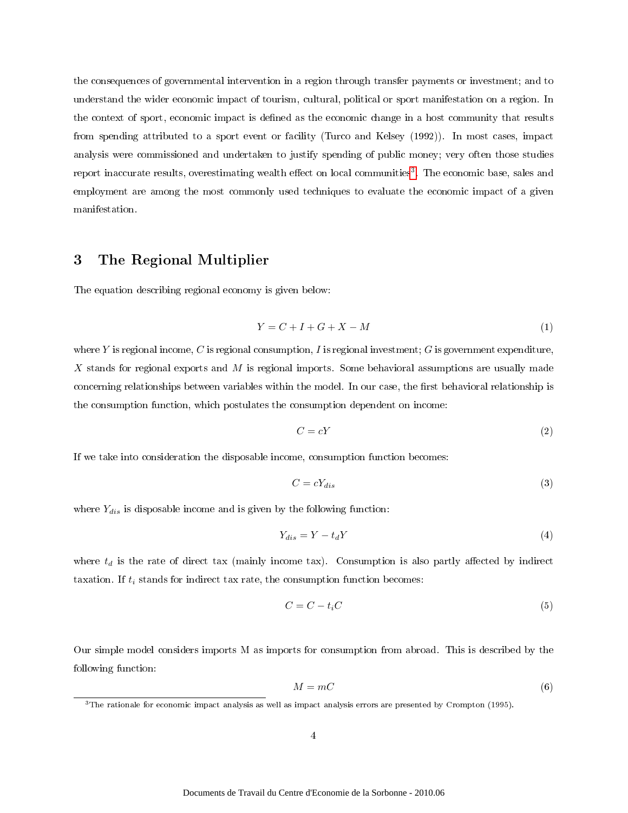the consequences of governmental intervention in a region through transfer payments or investment; and to understand the wider economic impact of tourism, cultural, political or sport manifestation on a region. In the context of sport, economic impact is defined as the economic change in a host community that results from spending attributed to a sport event or facility (Turco and Kelsey (1992)). In most cases, impact analysis were commissioned and undertaken to justify spending of public money; very often those studies report inaccurate results, overestimating wealth effect on local communities<sup>3</sup>. The economic base, sales and employment are among the most commonly used techniques to evaluate the economic impact of a given manifestation.

### 3 The Regional Multiplier

The equation describing regional economy is given below:

$$
Y = C + I + G + X - M \tag{1}
$$

where Y is regional income, C is regional consumption, I is regional investment; G is government expenditure, X stands for regional exports and  $M$  is regional imports. Some behavioral assumptions are usually made concerning relationships between variables within the model. In our case, the first behavioral relationship is the consumption function, which postulates the consumption dependent on income:

$$
C = cY \tag{2}
$$

If we take into consideration the disposable income, consumption function becomes:

$$
C = cY_{dis} \tag{3}
$$

where  $Y_{dis}$  is disposable income and is given by the following function:

$$
Y_{dis} = Y - t_d Y \tag{4}
$$

where  $t_d$  is the rate of direct tax (mainly income tax). Consumption is also partly affected by indirect taxation. If  $t_i$  stands for indirect tax rate, the consumption function becomes:

$$
C = C - t_i C \tag{5}
$$

Our simple model considers imports M as imports for consumption from abroad. This is described by the following function:

$$
M = mC \tag{6}
$$

<sup>3</sup>The rationale for economic impact analysis as well as impact analysis errors are presented by Crompton (1995).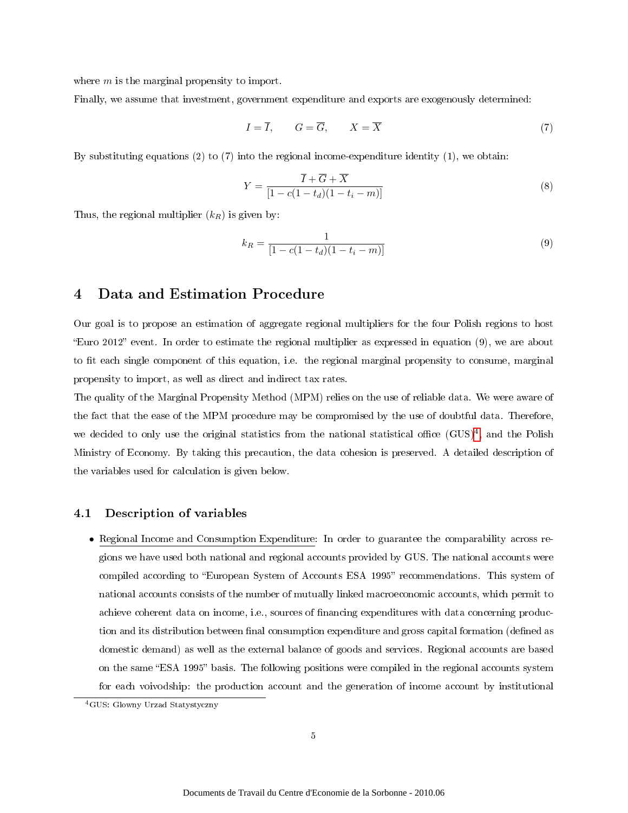where m is the marginal propensity to import.

Finally, we assume that investment, government expenditure and exports are exogenously determined:

$$
I = \overline{I}, \qquad G = \overline{G}, \qquad X = \overline{X} \tag{7}
$$

By substituting equations  $(2)$  to  $(7)$  into the regional income-expenditure identity  $(1)$ , we obtain:

$$
Y = \frac{\overline{I} + \overline{G} + \overline{X}}{\left[1 - c(1 - t_d)(1 - t_i - m)\right]}
$$
\n(8)

Thus, the regional multiplier  $(k_R)$  is given by:

$$
k_R = \frac{1}{[1 - c(1 - t_d)(1 - t_i - m)]} \tag{9}
$$

### 4 Data and Estimation Procedure

Our goal is to propose an estimation of aggregate regional multipliers for the four Polish regions to host Euro 2012 event. In order to estimate the regional multiplier as expressed in equation (9), we are about to fit each single component of this equation, i.e. the regional marginal propensity to consume, marginal propensity to import, as well as direct and indirect tax rates.

The quality of the Marginal Propensity Method (MPM) relies on the use of reliable data. We were aware of the fact that the ease of the MPM procedure may be compromised by the use of doubtful data. Therefore, we decided to only use the original statistics from the national statistical office  $(GUS)^4$ , and the Polish Ministry of Economy. By taking this precaution, the data cohesion is preserved. A detailed description of the variables used for calculation is given below.

#### 4.1 Description of variables

• Regional Income and Consumption Expenditure: In order to guarantee the comparability across regions we have used both national and regional accounts provided by GUS. The national accounts were compiled according to "European System of Accounts ESA 1995" recommendations. This system of national accounts consists of the number of mutually linked macroeconomic accounts, which permit to achieve coherent data on income, i.e., sources of nancing expenditures with data concerning production and its distribution between final consumption expenditure and gross capital formation (defined as domestic demand) as well as the external balance of goods and services. Regional accounts are based on the same "ESA 1995" basis. The following positions were compiled in the regional accounts system for each voivodship: the production account and the generation of income account by institutional

<sup>4</sup>GUS: Glowny Urzad Statystyczny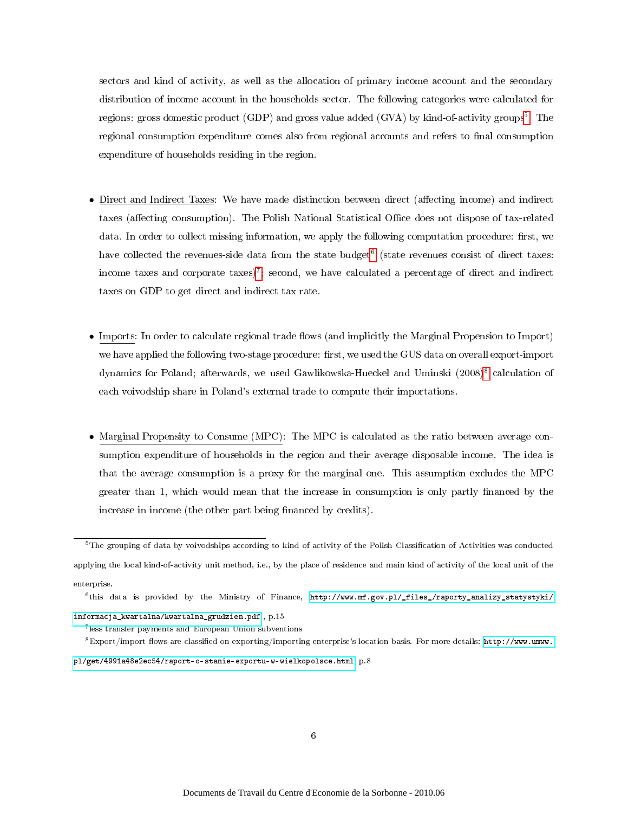sectors and kind of activity, as well as the allocation of primary income account and the secondary distribution of income account in the households sector. The following categories were calculated for regions: gross domestic product (GDP) and gross value added (GVA) by kind-of-activity groups<sup>5</sup>. The regional consumption expenditure comes also from regional accounts and refers to final consumption expenditure of households residing in the region.

- Direct and Indirect Taxes: We have made distinction between direct (affecting income) and indirect taxes (affecting consumption). The Polish National Statistical Office does not dispose of tax-related data. In order to collect missing information, we apply the following computation procedure: first, we have collected the revenues-side data from the state budget<sup>6</sup> (state revenues consist of direct taxes: income taxes and corporate taxes)<sup>7</sup>; second, we have calculated a percentage of direct and indirect taxes on GDP to get direct and indirect tax rate.
- $\bullet$  Imports: In order to calculate regional trade flows (and implicitly the Marginal Propension to Import) we have applied the following two-stage procedure: first, we used the GUS data on overall export-import dynamics for Poland; afterwards, we used Gawlikowska-Hueckel and Uminski (2008)<sup>8</sup> calculation of each voivodship share in Poland's external trade to compute their importations.
- Marginal Propensity to Consume (MPC): The MPC is calculated as the ratio between average consumption expenditure of households in the region and their average disposable income. The idea is that the average consumption is a proxy for the marginal one. This assumption excludes the MPC greater than 1, which would mean that the increase in consumption is only partly financed by the increase in income (the other part being financed by credits).

[pl/get/4991a48e2ec54/raport-o-stanie-exportu-w-wielkopolsce.html,](http://www.umww.pl/get/4991a48e2ec54/raport-o-stanie-exportu-w-wielkopolsce.html) p.8

 $5$ The grouping of data by voivodships according to kind of activity of the Polish Classification of Activities was conducted applying the local kind-of-activity unit method, i.e., by the place of residence and main kind of activity of the local unit of the enterprise.

<sup>6</sup> this data is provided by the Ministry of Finance, [http://www.mf.gov.pl/\\_files\\_/raporty\\_analizy\\_statystyki/](http://www.mf.gov.pl/_files_/raporty_analizy_statystyki/informacja_kwartalna/kwartalna_grudzien.pdf) [informacja\\_kwartalna/kwartalna\\_grudzien.pdf](http://www.mf.gov.pl/_files_/raporty_analizy_statystyki/informacja_kwartalna/kwartalna_grudzien.pdf) , p.15

<sup>7</sup> less transfer payments and European Union subventions

 $8$ Export/import flows are classified on exporting/importing enterprise's location basis. For more details: [http://www.umww.](http://www.umww.pl/get/4991a48e2ec54/raport-o-stanie-exportu-w-wielkopolsce.html)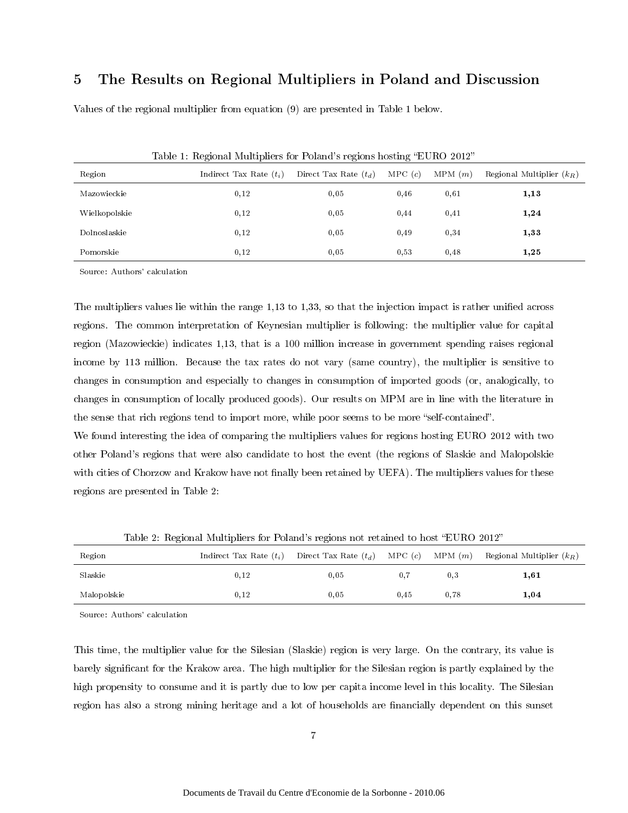### 5 The Results on Regional Multipliers in Poland and Discussion

Values of the regional multiplier from equation (9) are presented in Table 1 below.

| Table 1. Tregional muniphers for 1 olding s regions hosting the red 2012 |                           |                         |        |        |                             |  |  |  |
|--------------------------------------------------------------------------|---------------------------|-------------------------|--------|--------|-----------------------------|--|--|--|
| Region                                                                   | Indirect Tax Rate $(t_i)$ | Direct Tax Rate $(t_d)$ | MPC(c) | MPM(m) | Regional Multiplier $(k_B)$ |  |  |  |
| Mazowieckie                                                              | 0,12                      | 0.05                    | 0.46   | 0,61   | 1,13                        |  |  |  |
| Wielkopolskie                                                            | 0,12                      | 0.05                    | 0.44   | 0,41   | 1,24                        |  |  |  |
| Dolnoslaskie                                                             | 0,12                      | 0.05                    | 0.49   | 0,34   | 1,33                        |  |  |  |
| Pomorskie                                                                | 0,12                      | 0.05                    | 0,53   | 0,48   | 1,25                        |  |  |  |

Table 1: Regional Multipliers for Poland's regions hosting "EURO 2012"

Source: Authors' calculation

The multipliers values lie within the range  $1,13$  to  $1,33$ , so that the injection impact is rather unified across regions. The common interpretation of Keynesian multiplier is following: the multiplier value for capital region (Mazowieckie) indicates 1,13, that is a 100 million increase in government spending raises regional income by 113 million. Because the tax rates do not vary (same country), the multiplier is sensitive to changes in consumption and especially to changes in consumption of imported goods (or, analogically, to changes in consumption of locally produced goods). Our results on MPM are in line with the literature in the sense that rich regions tend to import more, while poor seems to be more "self-contained".

We found interesting the idea of comparing the multipliers values for regions hosting EURO 2012 with two other Poland's regions that were also candidate to host the event (the regions of Slaskie and Malopolskie with cities of Chorzow and Krakow have not finally been retained by UEFA). The multipliers values for these regions are presented in Table 2:

| Region      |      |      |      |      | Indirect Tax Rate $(t_i)$ Direct Tax Rate $(t_d)$ MPC $(c)$ MPM $(m)$ Regional Multiplier $(k_R)$ |
|-------------|------|------|------|------|---------------------------------------------------------------------------------------------------|
| Slaskie     | 0.12 | 0.05 | 0.7  | 0.3  | 1,61                                                                                              |
| Malopolskie | 0.12 | 0.05 | 0.45 | 0.78 | 1,04                                                                                              |

Table 2: Regional Multipliers for Poland's regions not retained to host "EURO 2012"

Source: Authors' calculation

This time, the multiplier value for the Silesian (Slaskie) region is very large. On the contrary, its value is barely signicant for the Krakow area. The high multiplier for the Silesian region is partly explained by the high propensity to consume and it is partly due to low per capita income level in this locality. The Silesian region has also a strong mining heritage and a lot of households are financially dependent on this sunset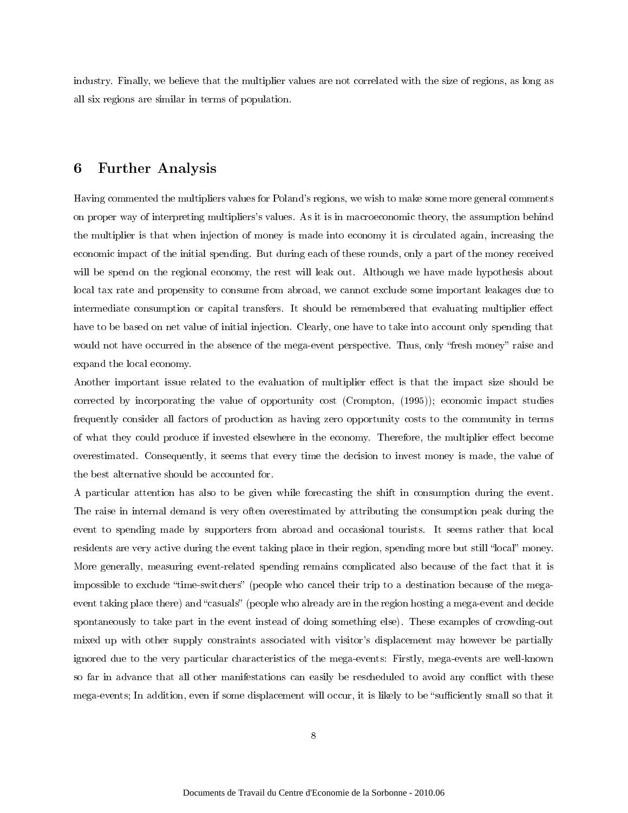industry. Finally, we believe that the multiplier values are not correlated with the size of regions, as long as all six regions are similar in terms of population.

### 6 Further Analysis

Having commented the multipliers values for Poland's regions, we wish to make some more general comments on proper way of interpreting multipliers's values. As it is in macroeconomic theory, the assumption behind the multiplier is that when injection of money is made into economy it is circulated again, increasing the economic impact of the initial spending. But during each of these rounds, only a part of the money received will be spend on the regional economy, the rest will leak out. Although we have made hypothesis about local tax rate and propensity to consume from abroad, we cannot exclude some important leakages due to intermediate consumption or capital transfers. It should be remembered that evaluating multiplier effect have to be based on net value of initial injection. Clearly, one have to take into account only spending that would not have occurred in the absence of the mega-event perspective. Thus, only "fresh money" raise and expand the local economy.

Another important issue related to the evaluation of multiplier effect is that the impact size should be corrected by incorporating the value of opportunity cost (Crompton, (1995)); economic impact studies frequently consider all factors of production as having zero opportunity costs to the community in terms of what they could produce if invested elsewhere in the economy. Therefore, the multiplier effect become overestimated. Consequently, it seems that every time the decision to invest money is made, the value of the best alternative should be accounted for.

A particular attention has also to be given while forecasting the shift in consumption during the event. The raise in internal demand is very often overestimated by attributing the consumption peak during the event to spending made by supporters from abroad and occasional tourists. It seems rather that local residents are very active during the event taking place in their region, spending more but still "local" money. More generally, measuring event-related spending remains complicated also because of the fact that it is impossible to exclude "time-switchers" (people who cancel their trip to a destination because of the megaevent taking place there) and "casuals" (people who already are in the region hosting a mega-event and decide spontaneously to take part in the event instead of doing something else). These examples of crowding-out mixed up with other supply constraints associated with visitor's displacement may however be partially ignored due to the very particular characteristics of the mega-events: Firstly, mega-events are well-known so far in advance that all other manifestations can easily be rescheduled to avoid any conflict with these mega-events; In addition, even if some displacement will occur, it is likely to be "sufficiently small so that it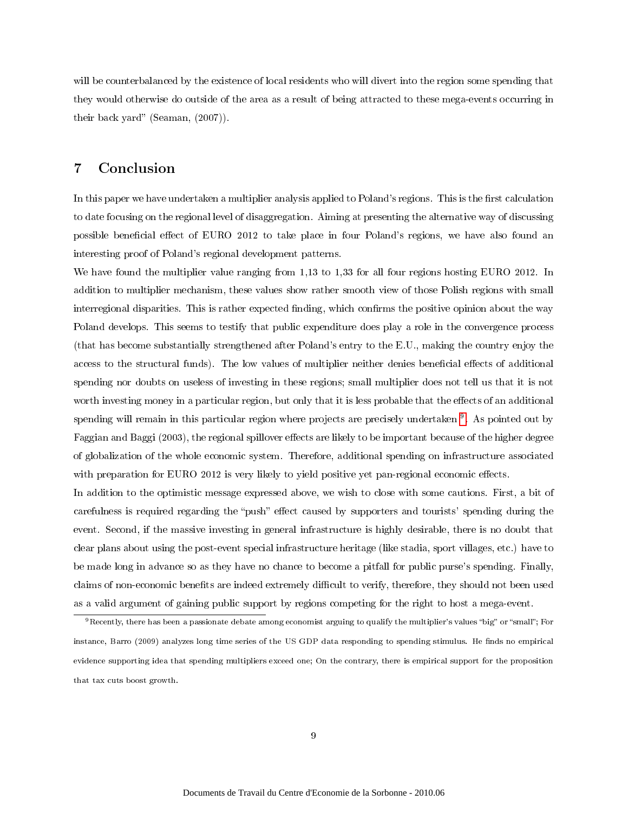will be counterbalanced by the existence of local residents who will divert into the region some spending that they would otherwise do outside of the area as a result of being attracted to these mega-events occurring in their back yard" (Seaman,  $(2007)$ ).

### 7 Conclusion

In this paper we have undertaken a multiplier analysis applied to Poland's regions. This is the first calculation to date focusing on the regional level of disaggregation. Aiming at presenting the alternative way of discussing possible beneficial effect of EURO 2012 to take place in four Poland's regions, we have also found an interesting proof of Poland's regional development patterns.

We have found the multiplier value ranging from 1,13 to 1,33 for all four regions hosting EURO 2012. In addition to multiplier mechanism, these values show rather smooth view of those Polish regions with small interregional disparities. This is rather expected finding, which confirms the positive opinion about the way Poland develops. This seems to testify that public expenditure does play a role in the convergence process (that has become substantially strengthened after Poland's entry to the E.U., making the country enjoy the access to the structural funds). The low values of multiplier neither denies beneficial effects of additional spending nor doubts on useless of investing in these regions; small multiplier does not tell us that it is not worth investing money in a particular region, but only that it is less probable that the effects of an additional spending will remain in this particular region where projects are precisely undertaken <sup>9</sup>. As pointed out by Faggian and Baggi (2003), the regional spillover effects are likely to be important because of the higher degree of globalization of the whole economic system. Therefore, additional spending on infrastructure associated with preparation for EURO 2012 is very likely to yield positive yet pan-regional economic effects.

In addition to the optimistic message expressed above, we wish to close with some cautions. First, a bit of carefulness is required regarding the "push" effect caused by supporters and tourists' spending during the event. Second, if the massive investing in general infrastructure is highly desirable, there is no doubt that clear plans about using the post-event special infrastructure heritage (like stadia, sport villages, etc.) have to be made long in advance so as they have no chance to become a pitfall for public purse's spending. Finally, claims of non-economic benefits are indeed extremely difficult to verify, therefore, they should not been used as a valid argument of gaining public support by regions competing for the right to host a mega-event.

<sup>&</sup>lt;sup>9</sup>Recently, there has been a passionate debate among economist arguing to qualify the multiplier's values "big" or "small"; For instance, Barro (2009) analyzes long time series of the US GDP data responding to spending stimulus. He finds no empirical evidence supporting idea that spending multipliers exceed one; On the contrary, there is empirical support for the proposition that tax cuts boost growth.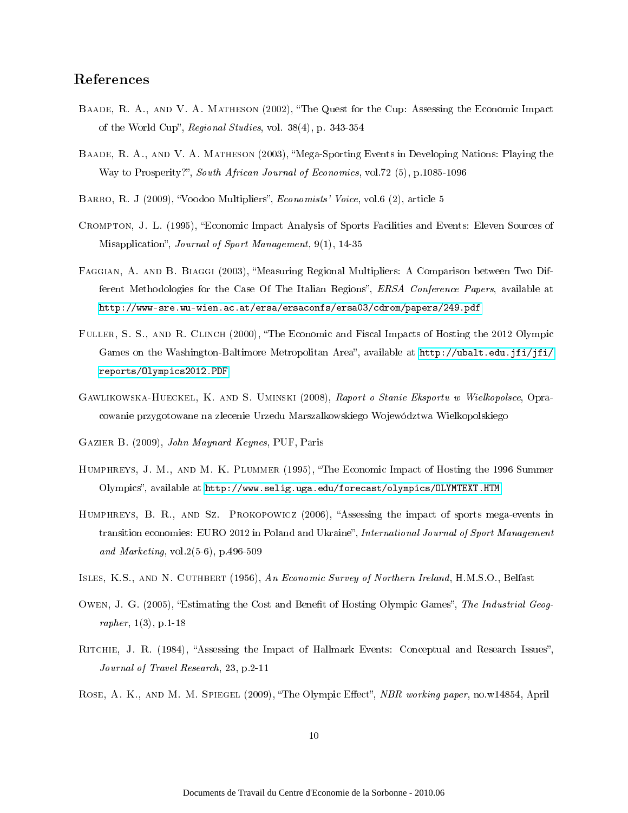### References

- BAADE, R. A., AND V. A. MATHESON (2002), "The Quest for the Cup: Assessing the Economic Impact of the World Cup", Regional Studies, vol.  $38(4)$ , p.  $343-354$
- Baade, R. A., and V. A. Matheson (2003), Mega-Sporting Events in Developing Nations: Playing the Way to Prosperity?", South African Journal of Economics, vol.72 (5), p.1085-1096
- BARRO, R. J (2009), "Voodoo Multipliers", *Economists' Voice*, vol.6 (2), article 5
- Crompton, J. L. (1995), Economic Impact Analysis of Sports Facilities and Events: Eleven Sources of Misapplication", Journal of Sport Management, 9(1), 14-35
- FAGGIAN, A. AND B. BIAGGI (2003), "Measuring Regional Multipliers: A Comparison between Two Different Methodologies for the Case Of The Italian Regions", *ERSA Conference Papers*, available at <http://www-sre.wu-wien.ac.at/ersa/ersaconfs/ersa03/cdrom/papers/249.pdf>
- FULLER, S. S., AND R. CLINCH (2000), "The Economic and Fiscal Impacts of Hosting the 2012 Olympic Games on the Washington-Baltimore Metropolitan Area", available at [http://ubalt.edu.jfi/jfi/](http://ubalt.edu.jfi/jfi/reports/Olympics2012.PDF) [reports/Olympics2012.PDF](http://ubalt.edu.jfi/jfi/reports/Olympics2012.PDF)
- Gawlikowska-Hueckel, K. and S. Uminski (2008), Raport o Stanie Eksportu w Wielkopolsce, Opracowanie przygotowane na zlecenie Urzedu Marszalkowskiego Województwa Wielkopolskiego
- Gazier B. (2009), John Maynard Keynes, PUF, Paris
- Humphreys, J. M., and M. K. Plummer (1995), The Economic Impact of Hosting the 1996 Summer Olympics, available at <http://www.selig.uga.edu/forecast/olympics/OLYMTEXT.HTM>
- HUMPHREYS, B. R., AND SZ. PROKOPOWICZ (2006), "Assessing the impact of sports mega-events in transition economies: EURO 2012 in Poland and Ukraine", International Journal of Sport Management and Marketing, vol.2(5-6), p.496-509
- ISLES, K.S., AND N. CUTHBERT (1956), An Economic Survey of Northern Ireland, H.M.S.O., Belfast
- OWEN, J. G. (2005), "Estimating the Cost and Benefit of Hosting Olympic Games", The Industrial Geographer, 1(3), p.1-18
- RITCHIE, J. R. (1984), "Assessing the Impact of Hallmark Events: Conceptual and Research Issues", Journal of Travel Research, 23, p.2-11
- ROSE, A. K., AND M. M. SPIEGEL (2009), "The Olympic Effect", NBR working paper, no.w14854, April